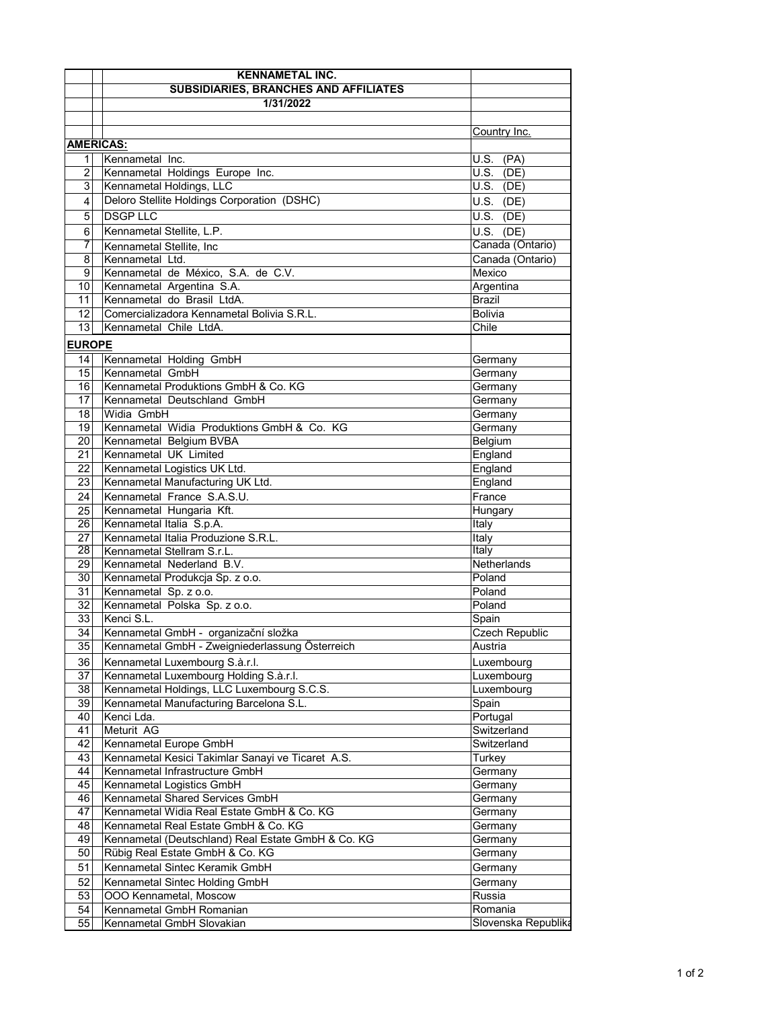|                                     | <b>KENNAMETAL INC.</b>                                                                     |                            |  |
|-------------------------------------|--------------------------------------------------------------------------------------------|----------------------------|--|
|                                     | <b>SUBSIDIARIES, BRANCHES AND AFFILIATES</b>                                               |                            |  |
|                                     | 1/31/2022                                                                                  |                            |  |
|                                     |                                                                                            |                            |  |
|                                     |                                                                                            | Country Inc.               |  |
| <b>AMERICAS:</b><br>Kennametal Inc. |                                                                                            |                            |  |
| 1<br>$\overline{2}$                 | Kennametal Holdings Europe Inc.                                                            | U.S. (PA)<br>$U.S.$ (DE)   |  |
| 3                                   | Kennametal Holdings, LLC                                                                   | $\overline{U.S.}$ (DE)     |  |
| 4                                   | Deloro Stellite Holdings Corporation (DSHC)                                                | $U.S.$ (DE)                |  |
|                                     | <b>DSGP LLC</b>                                                                            |                            |  |
| 5                                   |                                                                                            | $U.S.$ (DE)                |  |
| 6                                   | Kennametal Stellite, L.P.                                                                  | $U.S.$ (DE)                |  |
| 7<br>8                              | Kennametal Stellite, Inc<br>Kennametal Ltd.                                                | Canada (Ontario)           |  |
| 9                                   | Kennametal de México, S.A. de C.V.                                                         | Canada (Ontario)<br>Mexico |  |
| 10                                  | Kennametal Argentina S.A.                                                                  | Argentina                  |  |
| 11                                  | Kennametal do Brasil LtdA.                                                                 | <b>Brazil</b>              |  |
| 12                                  | Comercializadora Kennametal Bolivia S.R.L.                                                 | <b>Bolivia</b>             |  |
| 13                                  | Kennametal Chile LtdA.                                                                     | Chile                      |  |
| <b>EUROPE</b>                       |                                                                                            |                            |  |
| 14                                  |                                                                                            |                            |  |
| 15                                  | Kennametal Holding GmbH<br>Kennametal GmbH                                                 | Germany<br>Germany         |  |
| 16                                  | Kennametal Produktions GmbH & Co. KG                                                       | Germany                    |  |
| 17                                  | Kennametal Deutschland GmbH                                                                | Germany                    |  |
| 18                                  | Widia GmbH                                                                                 | Germany                    |  |
| 19                                  | Kennametal Widia Produktions GmbH & Co. KG                                                 | Germany                    |  |
| 20                                  | Kennametal Belgium BVBA                                                                    | Belgium                    |  |
| 21                                  | Kennametal UK Limited                                                                      | England                    |  |
| 22                                  | Kennametal Logistics UK Ltd.                                                               | England                    |  |
| 23                                  | Kennametal Manufacturing UK Ltd.                                                           | England                    |  |
| 24                                  | Kennametal France S.A.S.U.                                                                 | France                     |  |
| 25                                  | Kennametal Hungaria Kft.                                                                   | Hungary                    |  |
| 26                                  | Kennametal Italia S.p.A.                                                                   | Italy                      |  |
| 27                                  | Kennametal Italia Produzione S.R.L.                                                        | Italy                      |  |
| 28                                  | Kennametal Stellram S.r.L.                                                                 | Italy                      |  |
| 29                                  | Kennametal Nederland B.V.                                                                  | Netherlands                |  |
| 30<br>31                            | Kennametal Produkcja Sp. z o.o.<br>Kennametal Sp. z o.o.                                   | Poland<br>Poland           |  |
| 32                                  | Kennametal Polska Sp. z o.o.                                                               | Poland                     |  |
| 33                                  | Kenci S.L.                                                                                 | Spain                      |  |
| 34                                  | Kennametal GmbH - organizační složka                                                       | Czech Republic             |  |
| 35                                  | Kennametal GmbH - Zweigniederlassung Österreich                                            | Austria                    |  |
| 36                                  | Kennametal Luxembourg S.à.r.l.                                                             | Luxembourg                 |  |
| 37                                  | Kennametal Luxembourg Holding S.à.r.l.                                                     | Luxembourg                 |  |
| 38                                  | Kennametal Holdings, LLC Luxembourg S.C.S.                                                 | Luxembourg                 |  |
| 39                                  | Kennametal Manufacturing Barcelona S.L.                                                    | Spain                      |  |
| 40                                  | Kenci Lda.                                                                                 | Portugal                   |  |
| 41                                  | Meturit AG                                                                                 | Switzerland                |  |
| 42                                  | Kennametal Europe GmbH                                                                     | Switzerland                |  |
| 43                                  | Kennametal Kesici Takimlar Sanayi ve Ticaret A.S.                                          | Turkey                     |  |
| 44                                  | Kennametal Infrastructure GmbH                                                             | Germany                    |  |
| 45                                  | Kennametal Logistics GmbH                                                                  | Germany                    |  |
| 46                                  | Kennametal Shared Services GmbH                                                            | Germany                    |  |
| 47                                  | Kennametal Widia Real Estate GmbH & Co. KG                                                 | Germany                    |  |
| 48<br>49                            | Kennametal Real Estate GmbH & Co. KG<br>Kennametal (Deutschland) Real Estate GmbH & Co. KG | Germany                    |  |
| 50                                  | Rübig Real Estate GmbH & Co. KG                                                            | Germany<br>Germany         |  |
| 51                                  | Kennametal Sintec Keramik GmbH                                                             | Germany                    |  |
| 52                                  | Kennametal Sintec Holding GmbH                                                             | Germany                    |  |
| 53                                  | OOO Kennametal, Moscow                                                                     | Russia                     |  |
| 54                                  | Kennametal GmbH Romanian                                                                   | Romania                    |  |
| 55                                  | Kennametal GmbH Slovakian                                                                  | Slovenska Republika        |  |